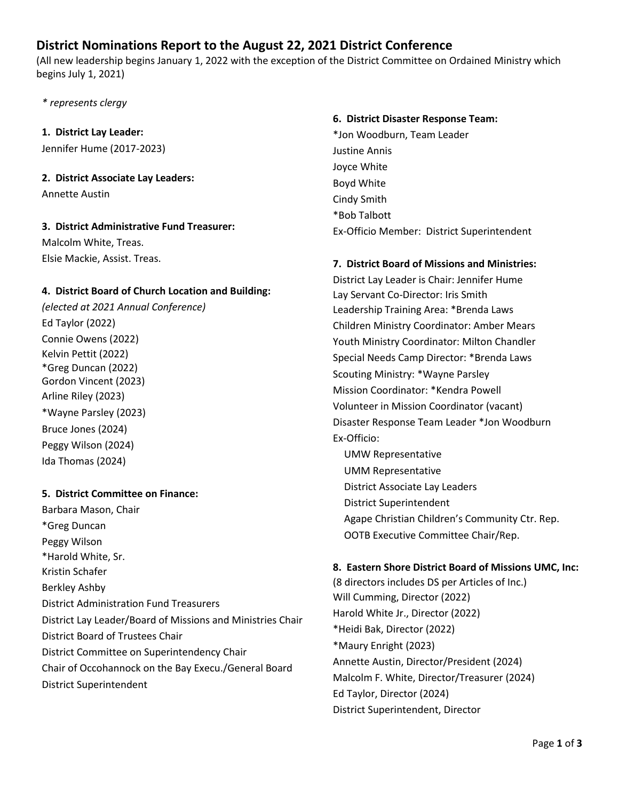# **District Nominations Report to the August 22, 2021 District Conference**

(All new leadership begins January 1, 2022 with the exception of the District Committee on Ordained Ministry which begins July 1, 2021)

*\* represents clergy*

## **1. District Lay Leader:**

Jennifer Hume (2017-2023)

### **2. District Associate Lay Leaders:**

Annette Austin

# **3. District Administrative Fund Treasurer:** Malcolm White, Treas.

Elsie Mackie, Assist. Treas.

## **4. District Board of Church Location and Building:**

*(elected at 2021 Annual Conference)* Ed Taylor (2022) Connie Owens (2022) Kelvin Pettit (2022) \*Greg Duncan (2022) Gordon Vincent (2023) Arline Riley (2023) \*Wayne Parsley (2023) Bruce Jones (2024) Peggy Wilson (2024) Ida Thomas (2024)

## **5. District Committee on Finance:**

Barbara Mason, Chair \*Greg Duncan Peggy Wilson \*Harold White, Sr. Kristin Schafer Berkley Ashby District Administration Fund Treasurers District Lay Leader/Board of Missions and Ministries Chair District Board of Trustees Chair District Committee on Superintendency Chair Chair of Occohannock on the Bay Execu./General Board District Superintendent

#### **6. District Disaster Response Team:**

\*Jon Woodburn, Team Leader Justine Annis Joyce White Boyd White Cindy Smith \*Bob Talbott Ex-Officio Member: District Superintendent

### **7. District Board of Missions and Ministries:**

District Lay Leader is Chair: Jennifer Hume Lay Servant Co-Director: Iris Smith Leadership Training Area: \*Brenda Laws Children Ministry Coordinator: Amber Mears Youth Ministry Coordinator: Milton Chandler Special Needs Camp Director: \*Brenda Laws Scouting Ministry: \*Wayne Parsley Mission Coordinator: \*Kendra Powell Volunteer in Mission Coordinator (vacant) Disaster Response Team Leader \*Jon Woodburn Ex-Officio:

UMW Representative UMM Representative District Associate Lay Leaders District Superintendent Agape Christian Children's Community Ctr. Rep. OOTB Executive Committee Chair/Rep.

## **8. Eastern Shore District Board of Missions UMC, Inc:**

(8 directors includes DS per Articles of Inc.) Will Cumming, Director (2022) Harold White Jr., Director (2022) \*Heidi Bak, Director (2022) \*Maury Enright (2023) Annette Austin, Director/President (2024) Malcolm F. White, Director/Treasurer (2024) Ed Taylor, Director (2024) District Superintendent, Director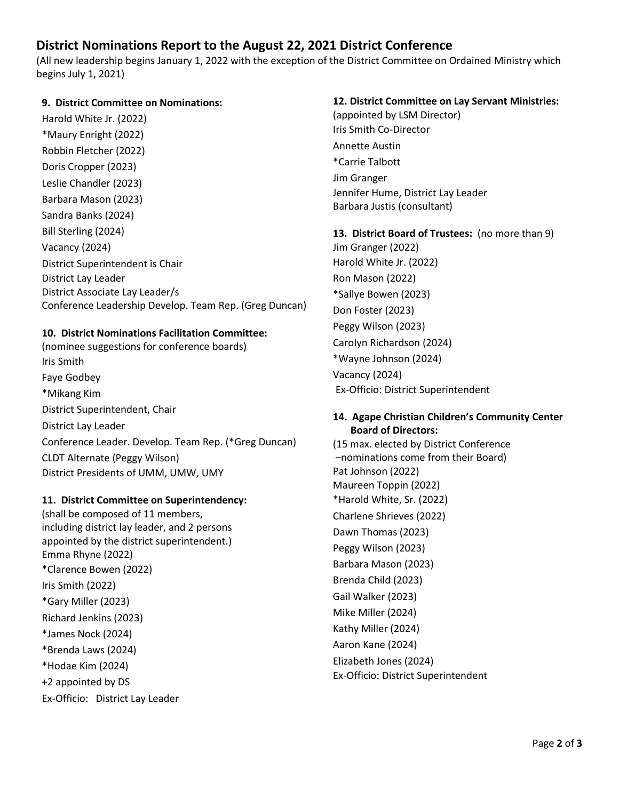# **District Nominations Report to the August 22, 2021 District Conference**

(All new leadership begins January 1, 2022 with the exception of the District Committee on Ordained Ministry which begins July 1, 2021)

#### **9. District Committee on Nominations:**

Harold White Jr. (2022) \*Maury Enright (2022) Robbin Fletcher (2022) Doris Cropper (2023) Leslie Chandler (2023) Barbara Mason (2023) Sandra Banks (2024) Bill Sterling (2024) Vacancy (2024) District Superintendent is Chair District Lay Leader District Associate Lay Leader/s Conference Leadership Develop. Team Rep. (Greg Duncan)

### **10. District Nominations Facilitation Committee:**

(nominee suggestions for conference boards) Iris Smith Faye Godbey \*Mikang Kim District Superintendent, Chair District Lay Leader Conference Leader. Develop. Team Rep. (\*Greg Duncan) CLDT Alternate (Peggy Wilson) District Presidents of UMM, UMW, UMY

#### **11. District Committee on Superintendency:**

(shall be composed of 11 members, including district lay leader, and 2 persons appointed by the district superintendent.) Emma Rhyne (2022) \*Clarence Bowen (2022) Iris Smith (2022) \*Gary Miller (2023) Richard Jenkins (2023) \*James Nock (2024) \*Brenda Laws (2024) \*Hodae Kim (2024) +2 appointed by DS Ex-Officio: District Lay Leader

### **12. District Committee on Lay Servant Ministries:**

(appointed by LSM Director) Iris Smith Co-Director Annette Austin \*Carrie Talbott Jim Granger Jennifer Hume, District Lay Leader Barbara Justis (consultant)

#### **13. District Board of Trustees:** (no more than 9)

Jim Granger (2022) Harold White Jr. (2022) Ron Mason (2022) \*Sallye Bowen (2023) Don Foster (2023) Peggy Wilson (2023) Carolyn Richardson (2024) \*Wayne Johnson (2024) Vacancy (2024) Ex-Officio: District Superintendent

#### **14. Agape Christian Children's Community Center Board of Directors:**

(15 max. elected by District Conference –nominations come from their Board) Pat Johnson (2022) Maureen Toppin (2022) \*Harold White, Sr. (2022) Charlene Shrieves (2022) Dawn Thomas (2023) Peggy Wilson (2023) Barbara Mason (2023) Brenda Child (2023) Gail Walker (2023) Mike Miller (2024) Kathy Miller (2024) Aaron Kane (2024) Elizabeth Jones (2024) Ex-Officio: District Superintendent